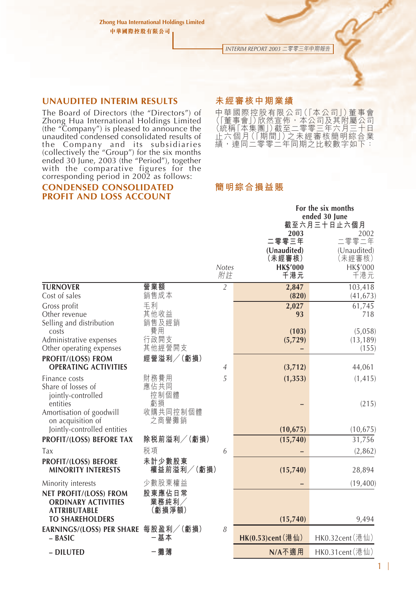*INTERIM REPORT 2003* 二零零三年中期報告

#### **UNAUDITED INTERIM RESULTS**

The Board of Directors (the "Directors") of Zhong Hua International Holdings Limited (the "Company") is pleased to announce the unaudited condensed consolidated results of the Company and its subsidiaries (collectively the "Group") for the six months ended 30 June, 2003 (the "Period"), together with the comparative figures for the corresponding period in 2002 as follows:

#### **CONDENSED CONSOLIDATED PROFIT AND LOSS ACCOUNT**

#### **未經審核中期業績**

中華國際控股有限公司(「本公司」)董事會 (1董事會」)欣然宣佈,本公司及其附屬公司<br>(統稱[本集團])截至二零零三年六月三十日<br>止六個<u>月(「期間」)之未經</u>審核簡明綜合業 績,連同二零零二年同期之比較數字如下:

**For the six months**

### **簡明綜合損益賬**

|                                                                                  |                                |                    |                            | FOR the six months<br>ended 30 June<br>截至六月三十日止六個月 |
|----------------------------------------------------------------------------------|--------------------------------|--------------------|----------------------------|----------------------------------------------------|
|                                                                                  |                                |                    | 2003                       | 2002                                               |
|                                                                                  |                                |                    | 二零零三年                      | 二零零二年                                              |
|                                                                                  |                                |                    | (Unaudited)<br>(未經審核)      | (Unaudited)<br>(未經審核)                              |
|                                                                                  |                                | <b>Notes</b><br>附註 | <b>HK\$'000</b><br>千港元     | HK\$'000<br>千港元                                    |
| <b>TURNOVER</b>                                                                  | 營業額                            | $\overline{2}$     | 2,847                      | 103,418                                            |
| Cost of sales                                                                    | 銷售成本                           |                    | (820)                      | (41, 673)                                          |
| Gross profit                                                                     | 毛利                             |                    | 2,027                      | 61,745                                             |
| Other revenue<br>Selling and distribution                                        | 其他收益<br>銷售及經銷                  |                    | 93                         | 718                                                |
| costs                                                                            | 費用                             |                    | (103)                      | (5,058)                                            |
| Administrative expenses                                                          | 行政開支                           |                    | (5,729)                    | (13, 189)                                          |
| Other operating expenses                                                         | 其他經營開支                         |                    |                            | (155)                                              |
| PROFIT/(LOSS) FROM<br><b>OPERATING ACTIVITIES</b>                                | 經營溢利/(虧損)                      | $\overline{4}$     | (3,712)                    | 44,061                                             |
| Finance costs                                                                    | 財務費用                           | 5                  | (1, 353)                   | (1, 415)                                           |
| Share of losses of<br>jointly-controlled<br>entities<br>Amortisation of goodwill | 應佔共同<br>控制個體<br>虧損<br>收購共同控制個體 |                    |                            | (215)                                              |
| on acquisition of<br>Jointly-controlled entities                                 | 之商譽攤銷                          |                    | (10, 675)                  | (10, 675)                                          |
| PROFIT/(LOSS) BEFORE TAX                                                         | 除税前溢利/(虧損)                     |                    | (15,740)                   | 31,756                                             |
| Tax                                                                              | 税項                             | 6                  |                            | (2,862)                                            |
| PROFIT/(LOSS) BEFORE<br><b>MINORITY INTERESTS</b>                                | 未計少數股東<br>權益前溢利/(虧損)           |                    | (15,740)                   | 28,894                                             |
| Minority interests                                                               | 少數股東權益                         |                    |                            | (19, 400)                                          |
| NET PROFIT/(LOSS) FROM<br><b>ORDINARY ACTIVITIES</b><br><b>ATTRIBUTABLE</b>      | 股東應佔日常<br>業務純利/<br>(虧損淨額)      |                    |                            |                                                    |
| <b>TO SHAREHOLDERS</b>                                                           |                                |                    | (15,740)                   | 9,494                                              |
| EARNINGS/(LOSS) PER SHARE 每股盈利/(虧損)<br>$-$ BASIC                                 | 一基本                            | 8                  | HK $(0.53)$ cent $(\n$ 港仙) | HK0.32cent(港仙)                                     |
| - DILUTED                                                                        | - 攤薄                           |                    | N/A不適用                     | HK0.31cent(港仙)                                     |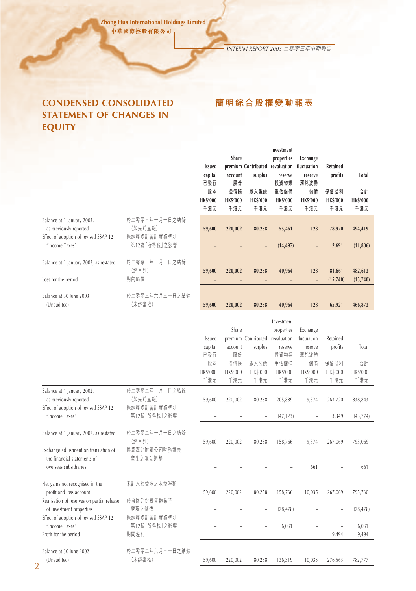*INTERIM REPORT 2003* 二零零三年中期報告

**簡明綜合股權變動報表**

# **CONDENSED CONSOLIDATED STATEMENT OF CHANGES IN EQUITY**

### **Investment Share properties Exchange Issued premium Contributed revaluation fluctuation Retained capital account surplus reserve reserve profits Total 已發行 股份 投資物業 㶅兌波動 股本 溢價賬 繳入盈餘 重估儲備 儲備 保留溢利 合計 HK\$'000 HK\$'000 HK\$'000 HK\$'000 HK\$'000 HK\$'000 HK\$'000 千港元 千港元 千港元 千港元 千港元 千港元 千港元** Balance at 1 January 2003, 於二零零三年一月一日之結餘 as previously reported (如先前呈報) **59,600 220,002 80,258 55,461 128 78,970 494,419** Effect of adoption of revised SSAP 12 採納經修訂會計實務準則 "Income Taxes" 第12號「所得稅」之影響 **– – – (14,497) – 2,691 (11,806)** Balance at 1 January 2003, as restated 於二零零三年一月一日之結餘 (經重列) **59,600 220,002 80,258 40,964 128 81,661 482,613** Loss for the period 期內虧損 **– – – – – (15,740) (15,740)** Balance at 30 June 2003 <br>
おより おもちゃん おもちゃく おもん おもん おちゃく 結鉄 (Unaudited) \木經善核*) 5*9**,600 220,002 80,258 40,964 128 65,921 466,873** Investment Share properties Exchange Issued premium Contributed revaluation fluctuation Retained capital account surplus reserve reserve profits Total - -<br>已發行 股份 投資物業 滙兑波動 股本 溢價賬 繳入盈餘 重估儲備 儲備 保留溢利 合計 HK\$'000 HK\$'000 HK\$'000 HK\$'000 HK\$'000 HK\$'000 HK\$'000 千港元 千港元 千港元 千港元 千港元 千港元 千港元 Balance at 1 January 2002, 於二零零二年一月一日之結餘 as previously reported (如先前呈報) 59,600 220,002 80,258 205,889 9,374 263,720 838,843 Effect of adoption of revised SSAP 12 採納經修訂會計實務準則 "Income Taxes" 第12號「所得稅」之影響 – – – (47,123) – 3,349 (43,774) Balance at 1 January 2002, as restated 於二零零二年一月一日之結餘 (經里列) 59,600 220,002 80,258 158,766 9,374 267,069 795,069 Exchange adjustment on translation of 換算海外附屬公司財務報表 the financial statements of <br> **E A** <br> **E** <br> **E** <br> **E** <br> **E** <br> **E** <br> **E** <br> **E** <br> **E** <br> **E** <br> **E** <br> **E** <br> **E** <br> **E** <br> **E** <br> **E** <br> **E** <br> **E** <br> **E** <br> **E** <br> **E** <br> **E** <br> **E** <br> **E** <br> **E** <br> **E** <br> **E** <br> **E** overseas subsidiaries – – – – 661 – 661 Net gains not recognised in the 未計入損益賬之收益淨額 profit and loss account 59,600 220,002 80,258 158,766 10,035 267,069 795,730 Realisation of reserves on partial release 於撥回部份投資物業時 of investment properties 變現之儲備 (28,478) (28,478) Effect of adoption of revised SSAP 12 採納經修訂會計實務準則 "Income Taxes" 第12號「所得稅」之影響 – – – 6,031 – – 6,031 Profit for the period 期間溢利 9,494 9,494 Balance at 30 June 2002 於二零零二年六月三十日之結餘 (Unaudited) (木經善恢*) 59,600 220,002 80,258* 136,319 10,035 *276,*563 *782,777*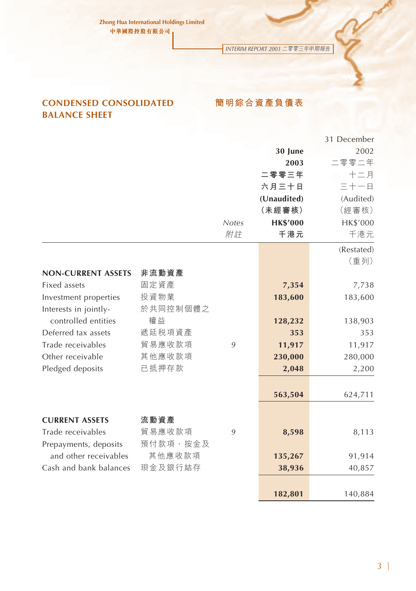*INTERIM REPORT 2003* 二零零三年中期報告

# **CONDENSED CONSOLIDATED BALANCE SHEET**

**簡明綜合資產負債表**

|                           |          |              |                 | 31 December |
|---------------------------|----------|--------------|-----------------|-------------|
|                           |          |              | 30 June         | 2002        |
|                           |          |              | 2003            | 二零零二年       |
|                           |          |              | 二零零三年           | 十二月         |
|                           |          |              | 六月三十日           | 三十一日        |
|                           |          |              | (Unaudited)     | (Audited)   |
|                           |          |              | (未經審核)          | (經審核)       |
|                           |          | <b>Notes</b> | <b>HK\$'000</b> | HK\$'000    |
|                           |          | 附註           | 千港元             | 千港元         |
|                           |          |              |                 | (Restated)  |
|                           |          |              |                 | (重列)        |
| <b>NON-CURRENT ASSETS</b> | 非流動資產    |              |                 |             |
| Fixed assets              | 固定資產     |              | 7,354           | 7,738       |
| Investment properties     | 投資物業     |              | 183,600         | 183,600     |
| Interests in jointly-     | 於共同控制個體之 |              |                 |             |
| controlled entities       | 權益       |              | 128,232         | 138,903     |
| Deferred tax assets       | 遞延税項資產   |              | 353             | 353         |
| Trade receivables         | 貿易應收款項   | 9            | 11,917          | 11,917      |
| Other receivable          | 其他應收款項   |              | 230,000         | 280,000     |
| Pledged deposits          | 已抵押存款    |              | 2,048           | 2,200       |
|                           |          |              |                 |             |
|                           |          |              | 563,504         | 624,711     |
|                           |          |              |                 |             |
| <b>CURRENT ASSETS</b>     | 流動資產     |              |                 |             |
| Trade receivables         | 貿易應收款項   | 9            | 8,598           | 8,113       |
| Prepayments, deposits     | 預付款項、按金及 |              |                 |             |
| and other receivables     | 其他應收款項   |              | 135,267         | 91,914      |
| Cash and bank balances    | 現金及銀行結存  |              | 38,936          | 40,857      |
|                           |          |              |                 |             |
|                           |          |              | 182,801         | 140,884     |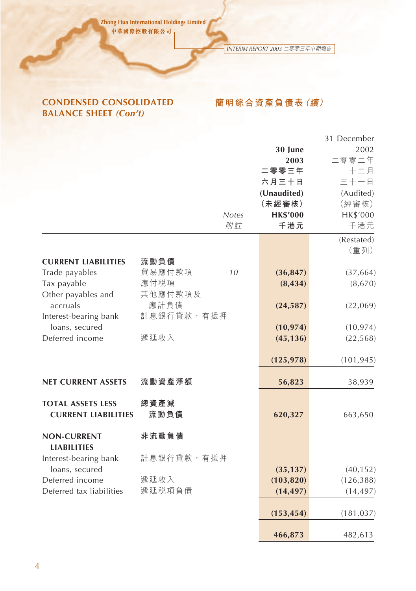*INTERIM REPORT 2003* 二零零三年中期報告

# **CONDENSED CONSOLIDATED BALANCE SHEET** *(Con't)*

**簡明綜合資產負債表(續)**

|                                                        |                 |                    | 30 June                | 31 December<br>2002 |
|--------------------------------------------------------|-----------------|--------------------|------------------------|---------------------|
|                                                        |                 |                    | 2003                   | 二零零二年               |
|                                                        |                 |                    | 二零零三年                  | 十二月                 |
|                                                        |                 |                    | 六月三十日                  | 三十一日                |
|                                                        |                 |                    | (Unaudited)            | (Audited)           |
|                                                        |                 |                    | (未經審核)                 | (經審核)               |
|                                                        |                 | <b>Notes</b><br>附註 | <b>HK\$'000</b><br>千港元 | HK\$'000<br>千港元     |
|                                                        |                 |                    |                        |                     |
|                                                        |                 |                    |                        | (Restated)          |
|                                                        |                 |                    |                        | (重列)                |
| <b>CURRENT LIABILITIES</b>                             | 流動負債            |                    |                        |                     |
| Trade payables                                         | 貿易應付款項          | 10                 | (36, 847)              | (37, 664)           |
| Tax payable<br>Other payables and                      | 應付税項<br>其他應付款項及 |                    | (8, 434)               | (8,670)             |
| accruals                                               | 應計負債            |                    | (24, 587)              | (22,069)            |
| Interest-bearing bank                                  | 計息銀行貸款,有抵押      |                    |                        |                     |
| loans, secured                                         |                 |                    | (10, 974)              | (10, 974)           |
| Deferred income                                        | 遞延收入            |                    | (45, 136)              | (22, 568)           |
|                                                        |                 |                    |                        |                     |
|                                                        |                 |                    | (125, 978)             | (101, 945)          |
| <b>NET CURRENT ASSETS</b>                              | 流動資產淨額          |                    | 56,823                 | 38,939              |
| <b>TOTAL ASSETS LESS</b><br><b>CURRENT LIABILITIES</b> | 總資產減<br>流動負債    |                    | 620,327                | 663,650             |
| <b>NON-CURRENT</b><br><b>LIABILITIES</b>               | 非流動負債           |                    |                        |                     |
| Interest-bearing bank<br>loans, secured                | 計息銀行貸款,有抵押      |                    | (35, 137)              | (40, 152)           |
| Deferred income                                        | 遞延收入            |                    | (103, 820)             | (126, 388)          |
| Deferred tax liabilities                               | 遞延税項負債          |                    | (14, 497)              | (14, 497)           |
|                                                        |                 |                    |                        |                     |
|                                                        |                 |                    | (153, 454)             | (181, 037)          |
|                                                        |                 |                    | 466,873                | 482,613             |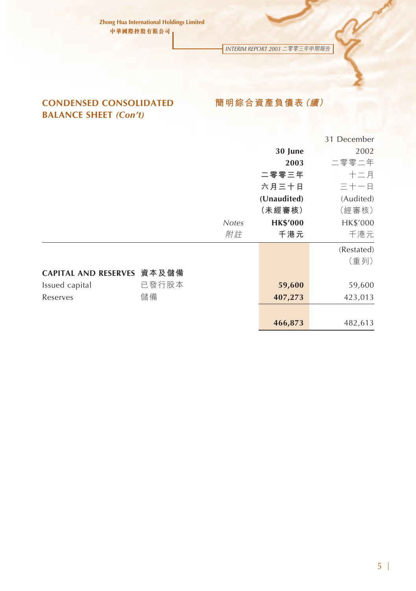*INTERIM REPORT 2003* 二零零三年中期報告

# **CONDENSED CONSOLIDATED BALANCE SHEET** *(Con't)*

# **簡明綜合資產負債表(續)**

|       |                             |                 | 31 December |
|-------|-----------------------------|-----------------|-------------|
|       |                             | 30 June         | 2002        |
|       |                             | 2003            | 二零零二年       |
|       |                             | 二零零三年           | $+ =$ $#$   |
|       |                             | 六月三十日           | 三十一日        |
|       |                             | (Unaudited)     | (Audited)   |
|       |                             | (未經審核)          | (經審核)       |
|       | <b>Notes</b>                | <b>HK\$'000</b> | HK\$'000    |
|       | 附註                          | 千港元             | 千港元         |
|       |                             |                 | (Restated)  |
|       |                             |                 | (重列)        |
| 資本及儲備 |                             |                 |             |
| 已發行股本 |                             | 59,600          | 59,600      |
| 儲備    |                             | 407,273         | 423,013     |
|       |                             |                 |             |
|       |                             | 466,873         | 482,613     |
|       | <b>CAPITAL AND RESERVES</b> |                 |             |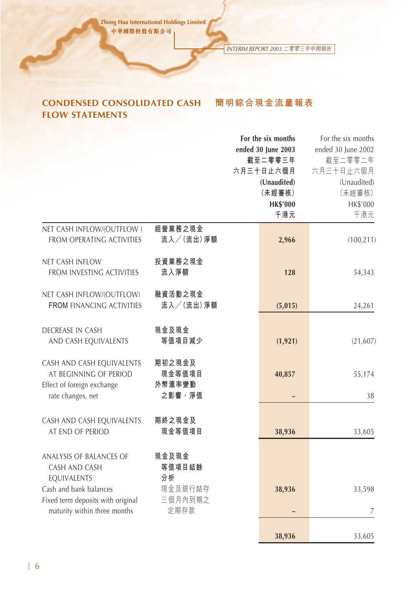*INTERIM REPORT 2003* 二零零三年中期報告

**38,936** 33,605

**簡明綜合現金流量報表**

# **CONDENSED CONSOLIDATED CASH FLOW STATEMENTS**

**For the six months** For the six months **ended 30 June 2003** ended 30 June 2002 **截至二零零三年** 截至二零零二年 **六月三十日止六個月** 六月三十日止六個月 **(Unaudited)** (Unaudited) **(未經審核)** (未經審核) **HK\$'000** HK\$'000 **千港元** 千港元 NET CASH INFLOW/(OUTFLOW ) **經營業務之現金** FROM OPERATING ACTIVITIES **流入/(流出)淨額 2,966** (100,211) NET CASH INFLOW **投資業務之現金** FROM INVESTING ACTIVITIES **流入淨額 128** 54,343 NET CASH INFLOW/(OUTFLOW) **融資活動之現金 FROM** FINANCING ACTIVITIES **流入/(流出)淨額 (5,015)** 24,261 **DECREASE IN CASH 現金及現金** AND CASH EQUIVALENTS **等值項目減少 (1,921)** (21,607) CASH AND CASH EQUIVALENTS **期初之現金及** AT BEGINNING OF PERIOD **現金等值項目 40,857** 55,174 Effect of foreign exchange **外幣滙率變動** rate changes, net **之影響,淨值 –** 38 CASH AND CASH EQUIVALENTS **期終之現金及** AT END OF PERIOD **現金等值項目 38,936** 33,605 ANALYSIS OF BALANCES OF **現金及現金** CASH AND CASH **等值項目結餘** EQUIVALENTS **分析** Cash and bank balances 現金及銀行結存 **38,936** 33,598 Fixed term deposits with original 三個月內到期之 maturity within three months 定期存款 **–** 7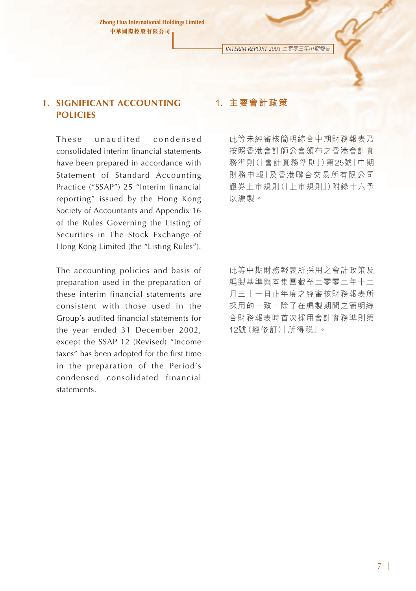*INTERIM REPORT 2003* 二零零三年中期報告

# **1. SIGNIFICANT ACCOUNTING POLICIES**

These unaudited condensed consolidated interim financial statements have been prepared in accordance with Statement of Standard Accounting Practice ("SSAP") 25 "Interim financial reporting" issued by the Hong Kong Society of Accountants and Appendix 16 of the Rules Governing the Listing of Securities in The Stock Exchange of Hong Kong Limited (the "Listing Rules").

The accounting policies and basis of preparation used in the preparation of these interim financial statements are consistent with those used in the Group's audited financial statements for the year ended 31 December 2002, except the SSAP 12 (Revised) "Income taxes" has been adopted for the first time in the preparation of the Period's condensed consolidated financial statements.

# **1. 主要會計政策**

此等未經審核簡明綜合中期財務報表乃 按照香港會計師公會頒布之香港會計實 務準則(「會計實務準則」)第25號「中期 財務申報」及香港聯合交易所有限公司 證券上市規則(「上市規則」)附錄十六予 以編製。

此等中期財務報表所採用之會計政策及 編製基準與本集團截至二零零二年十二 月三十一日止年度之經審核財務報表所 採用的一致,除了在編製期間之簡明綜 合財務報表時首次採用會計實務準則第 12號(經修訂)「所得稅」。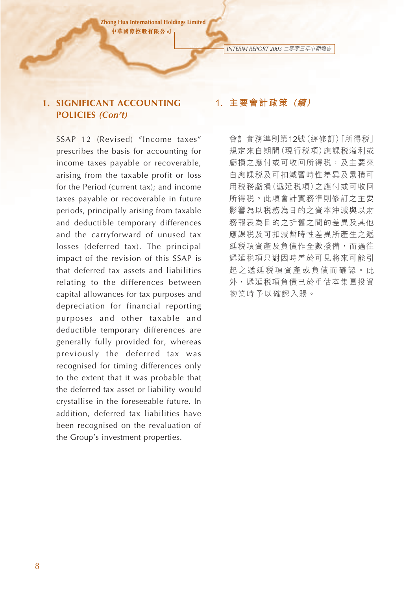*INTERIM REPORT 2003* 二零零三年中期報告

# **1. SIGNIFICANT ACCOUNTING POLICIES** *(Con't)*

SSAP 12 (Revised) "Income taxes" prescribes the basis for accounting for income taxes payable or recoverable, arising from the taxable profit or loss for the Period (current tax); and income taxes payable or recoverable in future periods, principally arising from taxable and deductible temporary differences and the carryforward of unused tax losses (deferred tax). The principal impact of the revision of this SSAP is that deferred tax assets and liabilities relating to the differences between capital allowances for tax purposes and depreciation for financial reporting purposes and other taxable and deductible temporary differences are generally fully provided for, whereas previously the deferred tax was recognised for timing differences only to the extent that it was probable that the deferred tax asset or liability would crystallise in the foreseeable future. In addition, deferred tax liabilities have been recognised on the revaluation of the Group's investment properties.

# **1. 主要會計政策 (續)**

會計實務準則第12號(經修訂)「所得稅」 規定來自期間(現行稅項)應課稅溢利或 虧損之應付或可收回所得稅;及主要來 自應課稅及可扣減暫時性差異及累積可 用稅務虧損(遞延稅項)之應付或可收回 所得稅。此項會計實務準則修訂之主要 影響為以稅務為目的之資本沖減與以財 務報表為目的之折舊之間的差異及其他 應課稅及可扣減暫時性差異所產生之遞 延稅項資產及負債作全數撥備,而過往 遞延稅項只對因時差於可見將來可能引 起之遞延稅項資產或負債而確認。此 外,遞延稅項負債已於重估本集團投資 物業時予以確認入賬。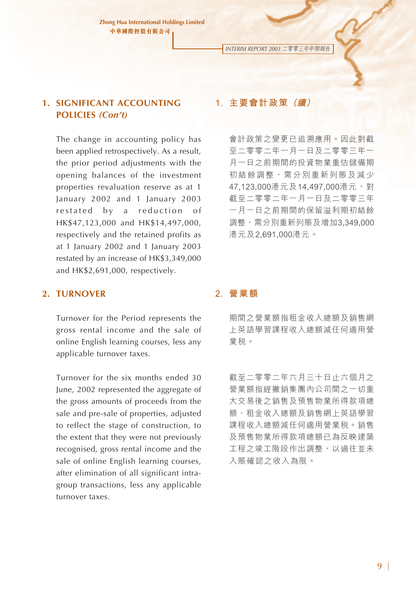*INTERIM REPORT 2003* 二零零三年中期報告

# **1. SIGNIFICANT ACCOUNTING POLICIES** *(Con't)*

The change in accounting policy has been applied retrospectively. As a result, the prior period adjustments with the opening balances of the investment properties revaluation reserve as at 1 January 2002 and 1 January 2003 restated by a reduction of HK\$47,123,000 and HK\$14,497,000, respectively and the retained profits as at 1 January 2002 and 1 January 2003 restated by an increase of HK\$3,349,000 and HK\$2,691,000, respectively.

# **1. 主要會計政策 (續)**

會計政策之變更已追溯應用。因此對截 至二零零二年一月一日及二零零三年一 月一日之前期間的投資物業重估儲備期 初結餘調整,需分別重新列賬及減少 47,123,000港元及14,497,000港元,對 截至二零零二年一月一日及二零零三年 一月一日之前期間的保留溢利期初結餘 調整,需分別重新列賬及增加3,349,000 港元及2,691,000港元。

### **2. TURNOVER**

Turnover for the Period represents the gross rental income and the sale of online English learning courses, less any applicable turnover taxes.

Turnover for the six months ended 30 June, 2002 represented the aggregate of the gross amounts of proceeds from the sale and pre-sale of properties, adjusted to reflect the stage of construction, to the extent that they were not previously recognised, gross rental income and the sale of online English learning courses, after elimination of all significant intragroup transactions, less any applicable turnover taxes.

### **2. 營業額**

期間之營業額指租金收入總額及銷售網 上英語學習課程收入總額減任何適用營 業稅。

截至二零零二年六月三十日止六個月之 營業額指經撇銷集團內公司間之一切重 大交易後之銷售及預售物業所得款項總 額、租金收入總額及銷售網上英語學習 課程收入總額減任何適用營業稅。銷售 及預售物業所得款項總額已為反映建築 工程之竣工階段作出調整,以過往並未 入賬確認之收入為限。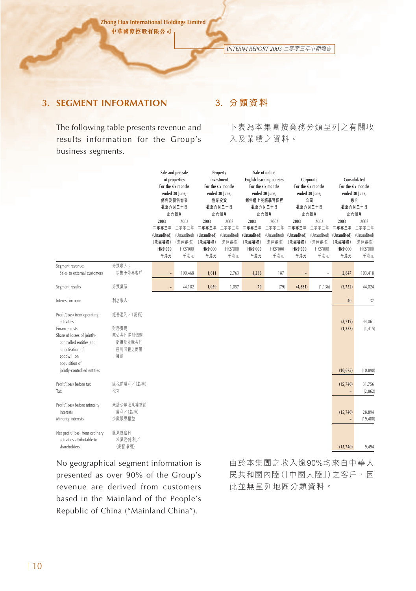*INTERIM REPORT 2003* 二零零三年中期報告

# **3. SEGMENT INFORMATION**

# The following table presents revenue and results information for the Group's business segments.

# **3. 分類資料**

下表為本集團按業務分類呈列之有關收 入及業績之資料。

|                                                                                                                                                                           |                                                           |                                                                  | Sale and pre-sale<br>of properties<br>For the six months<br>ended 30 June,<br>銷售及預售物業<br>截至六月三十日<br>止六個月 |                                                                  | Property<br>investment<br>For the six months<br>ended 30 June,<br>物業投資<br>截至六月三十日<br>止六個月 |                                                                  | Sale of online<br><b>English learning courses</b><br>For the six months<br>ended 30 June,<br>銷售網上英語學習課程<br>截至六月三十日<br>止六個月 |                                                                  | Corporate<br>For the six months<br>ended 30 June,<br>公司<br>截至六月三十日<br>止六個月 |                                                                              | Consolidated<br>For the six months<br>ended 30 June,<br>综合<br>截至六月三十日<br>止六個月 |
|---------------------------------------------------------------------------------------------------------------------------------------------------------------------------|-----------------------------------------------------------|------------------------------------------------------------------|----------------------------------------------------------------------------------------------------------|------------------------------------------------------------------|-------------------------------------------------------------------------------------------|------------------------------------------------------------------|----------------------------------------------------------------------------------------------------------------------------|------------------------------------------------------------------|----------------------------------------------------------------------------|------------------------------------------------------------------------------|-------------------------------------------------------------------------------|
|                                                                                                                                                                           |                                                           | 2003<br>二零零三年<br>(Unaudited)<br>(未經審核)<br><b>HK\$'000</b><br>千港元 | 2002<br>二零零二年<br>(Unaudited)<br>(未經審核)<br>HK\$'000<br>千港元                                                | 2003<br>二零零三年<br>(Unaudited)<br>(未經審核)<br><b>HK\$'000</b><br>千港元 | 2002<br>二零零二年<br>(Unaudited)<br>(未經審核)<br>HK\$'000<br>千港元                                 | 2003<br>二零零三年<br>(Unaudited)<br>(未經審核)<br><b>HK\$'000</b><br>千港元 | 2002<br>二零零二年<br>(Unaudited)<br>(未經審核)<br>HK\$'000<br>千港元                                                                  | 2003<br>二零零三年<br>(Unaudited)<br>(未經審核)<br><b>HK\$'000</b><br>千港元 | 2002<br>二零零二年<br>(Unaudited)<br>(未經審核)<br>HK\$'000<br>千港元                  | 2003<br>二零零三年<br>(Unaudited) (Unaudited)<br>(未經審核)<br><b>HK\$'000</b><br>千港元 | 2002<br>二零零二年<br>(未經審核)<br>HK\$'000<br>千港元                                    |
| Segment revenue:<br>Sales to external customers                                                                                                                           | 分類收入:<br>銷售予外界客戶                                          |                                                                  | 100,468                                                                                                  | 1,611                                                            | 2,763                                                                                     | 1,236                                                            | 187                                                                                                                        | ÷                                                                |                                                                            | 2,847                                                                        | 103,418                                                                       |
| Segment results                                                                                                                                                           | 分類業績                                                      |                                                                  | 44,182                                                                                                   | 1,059                                                            | 1,057                                                                                     | 70                                                               | (79)                                                                                                                       | (4, 881)                                                         | (1, 136)                                                                   | (3, 752)                                                                     | 44,024                                                                        |
| Interest income                                                                                                                                                           | 利息收入                                                      |                                                                  |                                                                                                          |                                                                  |                                                                                           |                                                                  |                                                                                                                            |                                                                  |                                                                            | 40                                                                           | 37                                                                            |
| Profit/(loss) from operating<br>activities<br>Finance costs<br>Share of losses of jointly-<br>controlled entitles and<br>amortisation of<br>goodwill on<br>acquisition of | 經營溢利/(虧損)<br>財務費用<br>應佔共同控制個體<br>虧損及收購共同<br>控制個體之商譽<br>覆销 |                                                                  |                                                                                                          |                                                                  |                                                                                           |                                                                  |                                                                                                                            |                                                                  |                                                                            | (3,712)<br>(1, 353)                                                          | 44,061<br>(1, 415)                                                            |
| jointly-controlled entities                                                                                                                                               |                                                           |                                                                  |                                                                                                          |                                                                  |                                                                                           |                                                                  |                                                                                                                            |                                                                  |                                                                            | (10, 675)                                                                    | (10, 890)                                                                     |
| Profit/(loss) before tax<br>Tax                                                                                                                                           | 除税前溢利/(虧損)<br>税項                                          |                                                                  |                                                                                                          |                                                                  |                                                                                           |                                                                  |                                                                                                                            |                                                                  |                                                                            | (15, 740)<br>÷                                                               | 31,756<br>(2, 862)                                                            |
| Profit/(loss) before minority<br>interests<br>Minority interests                                                                                                          | 未計少數股東權益前<br>溢利/(虧損)<br>少數股東權益                            |                                                                  |                                                                                                          |                                                                  |                                                                                           |                                                                  |                                                                                                                            |                                                                  |                                                                            | (15,740)                                                                     | 28,894<br>(19, 400)                                                           |
| Net profit/(loss) from ordinary<br>activities attributable to<br>shareholders                                                                                             | 股東應佔日<br>常業務純利/<br>(虧損淨額)                                 |                                                                  |                                                                                                          |                                                                  |                                                                                           |                                                                  |                                                                                                                            |                                                                  |                                                                            | (15, 740)                                                                    | 9,494                                                                         |

No geographical segment information is presented as over 90% of the Group's revenue are derived from customers based in the Mainland of the People's Republic of China ("Mainland China").

由於本集團之收入逾90%均來自中華人 民共和國內陸(「中國大陸」)之客戶,因 此並無呈列地區分類資料。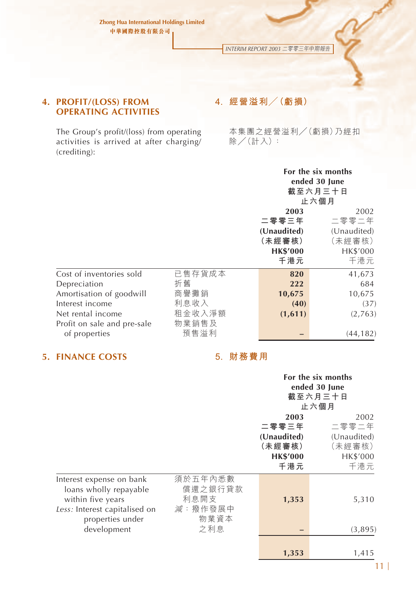*INTERIM REPORT 2003* 二零零三年中期報告

### **4. PROFIT/(LOSS) FROM OPERATING ACTIVITIES**

The Group's profit/(loss) from operating activities is arrived at after charging/ (crediting):

# **4. 經營溢利/(虧損)**

本集團之經營溢利/(虧損)乃經扣 除/(計入):

|                             |        |                 | For the six months |  |  |
|-----------------------------|--------|-----------------|--------------------|--|--|
|                             |        | ended 30 June   |                    |  |  |
|                             |        | 截至六月三十日         |                    |  |  |
|                             |        | 止六個月            |                    |  |  |
|                             |        | 2003            | 2002               |  |  |
|                             |        | 二零零三年           | 二零零二年              |  |  |
|                             |        | (Unaudited)     | (Unaudited)        |  |  |
|                             |        | (未經審核)          | (未經審核)             |  |  |
|                             |        | <b>HK\$'000</b> | HK\$'000           |  |  |
|                             |        | 千港元             | 千港元                |  |  |
| Cost of inventories sold    | 已售存貨成本 | 820             | 41,673             |  |  |
| Depreciation                | 折舊     | 222             | 684                |  |  |
| Amortisation of goodwill    | 商譽攤銷   | 10,675          | 10,675             |  |  |
| Interest income             | 利息收入   | (40)            | (37)               |  |  |
| Net rental income           | 租金收入淨額 | (1,611)         | (2,763)            |  |  |
| Profit on sale and pre-sale | 物業銷售及  |                 |                    |  |  |
| of properties               | 預售溢利   |                 | (44, 182)          |  |  |

# **5. FINANCE COSTS 5. 財務費用**

|                                                                                                                                             |                                                      |                                                                  | For the six months<br>ended 30 June<br>截至六月三十日<br>止六個月    |
|---------------------------------------------------------------------------------------------------------------------------------------------|------------------------------------------------------|------------------------------------------------------------------|-----------------------------------------------------------|
|                                                                                                                                             |                                                      | 2003<br>二零零三年<br>(Unaudited)<br>(未經審核)<br><b>HK\$'000</b><br>千港元 | 2002<br>二零零二年<br>(Unaudited)<br>(未經審核)<br>HK\$'000<br>千港元 |
| Interest expense on bank<br>loans wholly repayable<br>within five years<br>Less: Interest capitalised on<br>properties under<br>development | 須於五年內悉數<br>償還之銀行貸款<br>利息開支<br>減:撥作發展中<br>物業資本<br>之利息 | 1,353                                                            | 5,310<br>(3,895)                                          |
|                                                                                                                                             |                                                      | 1,353                                                            | 1,415                                                     |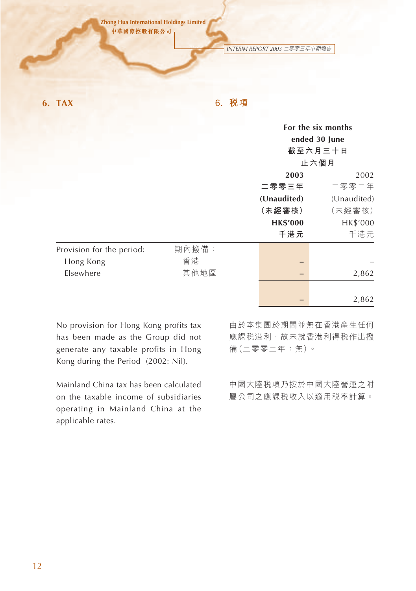*INTERIM REPORT 2003* 二零零三年中期報告

**6. TAX 6. 稅項**

|                           |       |                 | For the six months<br>ended 30 June<br>截至六月三十日<br>止六個月 |
|---------------------------|-------|-----------------|--------------------------------------------------------|
|                           |       | 2003            | 2002                                                   |
|                           |       | 二零零三年           | 二零零二年                                                  |
|                           |       | (Unaudited)     | (Unaudited)                                            |
|                           |       | (未經審核)          | (未經審核)                                                 |
|                           |       | <b>HK\$'000</b> | HK\$'000                                               |
|                           |       | 千港元             | 千港元                                                    |
| Provision for the period: | 期內撥備: |                 |                                                        |
| Hong Kong                 | 香港    |                 |                                                        |
| Elsewhere                 | 其他地區  |                 | 2,862                                                  |
|                           |       |                 |                                                        |
|                           |       |                 | 2,862                                                  |

No provision for Hong Kong profits tax has been made as the Group did not generate any taxable profits in Hong Kong during the Period (2002: Nil).

Mainland China tax has been calculated on the taxable income of subsidiaries operating in Mainland China at the applicable rates.

由於本集團於期間並無在香港產生任何 應課税溢利,故未就香港利得税作出撥 備(二零零二年:無)。

中國大陸稅項乃按於中國大陸營運之附 屬公司之應課稅收入以適用稅率計算。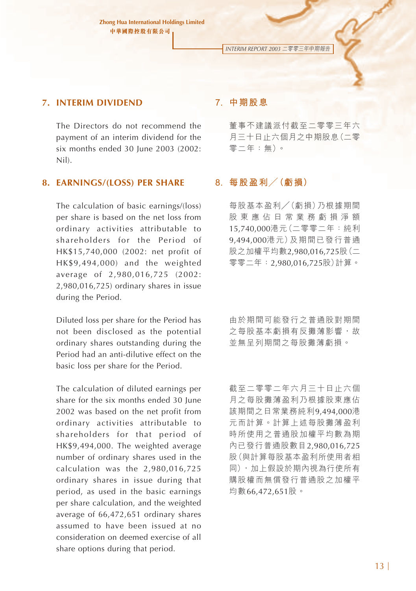*INTERIM REPORT 2003* 二零零三年中期報告

### **7. INTERIM DIVIDEND**

The Directors do not recommend the payment of an interim dividend for the six months ended 30 June 2003 (2002: Nil).

### **8. EARNINGS/(LOSS) PER SHARE**

The calculation of basic earnings/(loss) per share is based on the net loss from ordinary activities attributable to shareholders for the Period of HK\$15,740,000 (2002: net profit of HK\$9,494,000) and the weighted average of 2,980,016,725 (2002: 2,980,016,725) ordinary shares in issue during the Period.

Diluted loss per share for the Period has not been disclosed as the potential ordinary shares outstanding during the Period had an anti-dilutive effect on the basic loss per share for the Period.

The calculation of diluted earnings per share for the six months ended 30 June 2002 was based on the net profit from ordinary activities attributable to shareholders for that period of HK\$9,494,000. The weighted average number of ordinary shares used in the calculation was the 2,980,016,725 ordinary shares in issue during that period, as used in the basic earnings per share calculation, and the weighted average of 66,472,651 ordinary shares assumed to have been issued at no consideration on deemed exercise of all share options during that period.

### **7. 中期股息**

董事不建議派付截至二零零三年六 月三十日止六個月之中期股息(二零 零二年:無)。

### **8. 每股盈利/(虧損)**

每股基本盈利/(虧損)乃根據期間 股東應佔日常業務虧損淨額 15,740,000港元(二零零二年:純利 9,494,000港元)及期間已發行普通 股之加權平均數2,980,016,725股(二 零零二年:2,980,016,725股)計算。

由於期間可能發行之普通股對期間 之每股基本虧損有反攤薄影響,故 並無呈列期間之每股攤薄虧損。

截至二零零二年六月三十日止六個 月之每股攤薄盈利乃根據股東應佔 該期間之日常業務純利9,494,000港 元而計算。計算上述每股攤薄盈利 時所使用之普通股加權平均數為期 內已發行普通股數目2,980,016,725 股(與計算每股基本盈利所使用者相 同),加上假設於期內視為行使所有 購股權而無償發行普通股之加權平 均數66,472,651股。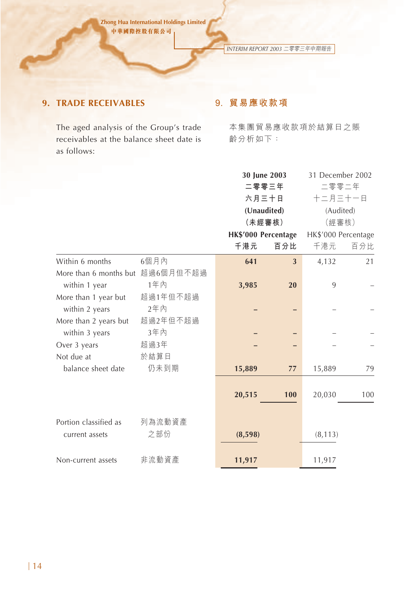*INTERIM REPORT 2003* 二零零三年中期報告

# **9. TRADE RECEIVABLES**

The aged analysis of the Group's trade receivables at the balance sheet date is as follows:

# **9. 貿易應收款項**

本集團貿易應收款項於結算日之賬 齡分析如下:

|                                  | 30 June 2003                   |     | 31 December 2002                                                          |                                                    |  |
|----------------------------------|--------------------------------|-----|---------------------------------------------------------------------------|----------------------------------------------------|--|
|                                  |                                |     |                                                                           |                                                    |  |
|                                  |                                |     | 十二月三十一日                                                                   |                                                    |  |
|                                  |                                |     |                                                                           |                                                    |  |
|                                  |                                |     |                                                                           |                                                    |  |
|                                  |                                |     |                                                                           |                                                    |  |
|                                  | 千港元                            | 百分比 | 千港元                                                                       | 百分比                                                |  |
| 6個月內                             | 641                            | 3   | 4,132                                                                     | 21                                                 |  |
| More than 6 months but 超過6個月但不超過 |                                |     |                                                                           |                                                    |  |
| 1年內                              | 3,985                          | 20  | 9                                                                         |                                                    |  |
| 超過1年但不超過                         |                                |     |                                                                           |                                                    |  |
| 2年內                              |                                |     |                                                                           |                                                    |  |
| 超過2年但不超過                         |                                |     |                                                                           |                                                    |  |
| 3年内                              |                                |     |                                                                           |                                                    |  |
| 超過3年                             |                                |     |                                                                           |                                                    |  |
|                                  |                                |     |                                                                           |                                                    |  |
| 仍未到期                             | 15,889                         | 77  | 15,889                                                                    | 79                                                 |  |
|                                  |                                |     |                                                                           |                                                    |  |
|                                  | 20,515                         | 100 | 20,030                                                                    | 100                                                |  |
|                                  |                                |     |                                                                           |                                                    |  |
|                                  |                                |     |                                                                           |                                                    |  |
|                                  |                                |     | (8, 113)                                                                  |                                                    |  |
|                                  |                                |     |                                                                           |                                                    |  |
|                                  | 11,917                         |     | 11,917                                                                    |                                                    |  |
|                                  | 於結算日<br>列為流動資產<br>之部份<br>非流動資產 |     | 二零零三年<br>六月三十日<br>(Unaudited)<br>(未經審核)<br>HK\$'000 Percentage<br>(8,598) | 二零零二年<br>(Audited)<br>(經審核)<br>HK\$'000 Percentage |  |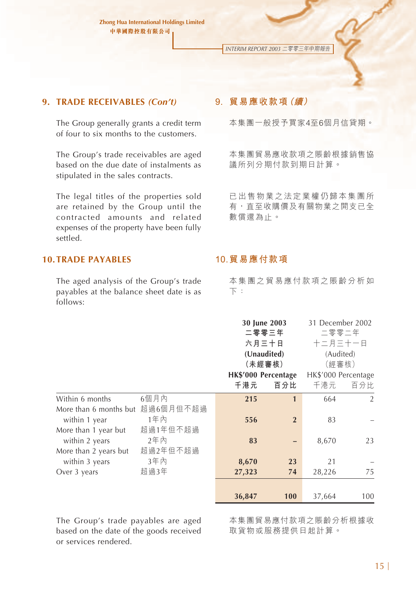*INTERIM REPORT 2003* 二零零三年中期報告

#### **9. TRADE RECEIVABLES** *(Con't)*

The Group generally grants a credit term of four to six months to the customers.

The Group's trade receivables are aged based on the due date of instalments as stipulated in the sales contracts.

The legal titles of the properties sold are retained by the Group until the contracted amounts and related expenses of the property have been fully settled.

### **10.TRADE PAYABLES**

The aged analysis of the Group's trade payables at the balance sheet date is as follows:

### **9. 貿易應收款項(續)**

本集團一般授予買家4至6個月信貸期。

本集團貿易應收款項之賬齡根據銷售協 議所列分期付款到期日計算。

已出售物業之法定業權仍歸本集團所 有,直至收購價及有關物業之開支已全 數償還為止。

### **10.貿易應付款項**

本集團之貿易應付款項之賬齡分析如 下:

|                                         |                  |        | 30 June 2003<br>二零零三年<br>六月三十日<br>(Unaudited)<br>(未經審核)<br>HK\$'000 Percentage |        | 31 December 2002<br>二零零二年<br>十二月三十一日<br>(Audited)<br>(經審核)<br>HK\$'000 Percentage |
|-----------------------------------------|------------------|--------|--------------------------------------------------------------------------------|--------|-----------------------------------------------------------------------------------|
|                                         |                  | 千港元    | 百分比                                                                            | 千港元    | 百分比                                                                               |
| Within 6 months                         | 6個月內             | 215    | 1                                                                              | 664    | $\overline{2}$                                                                    |
| More than 6 months but<br>within 1 year | 超過6個月但不超過<br>1年內 | 556    | $\overline{2}$                                                                 | 83     |                                                                                   |
| More than 1 year but<br>within 2 years  | 超過1年但不超過<br>2年内  | 83     |                                                                                | 8,670  | 23                                                                                |
| More than 2 years but<br>within 3 years | 超過2年但不超過<br>3年內  | 8,670  | 23                                                                             | 21     |                                                                                   |
| Over 3 years                            | 超過3年             | 27,323 | 74                                                                             | 28,226 | 75                                                                                |
|                                         |                  | 36,847 | 100                                                                            | 37,664 | 100                                                                               |

The Group's trade payables are aged based on the date of the goods received or services rendered.

本集團貿易應付款項之賬齡分析根據收 取貨物或服務提供日起計算。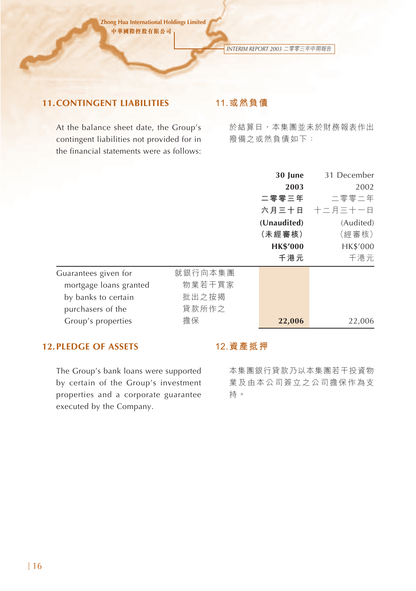*INTERIM REPORT 2003* 二零零三年中期報告

# **11.CONTINGENT LIABILITIES**

# **11.或然負債**

At the balance sheet date, the Group's contingent liabilities not provided for in the financial statements were as follows:

於結算日,本集團並未於財務報表作出 撥備之或然負債如下:

|                        |         | 30 June         | 31 December   |
|------------------------|---------|-----------------|---------------|
|                        |         | 2003            | 2002          |
|                        |         | 二零零三年           | 二零零二年         |
|                        |         |                 | 六月三十日 十二月三十一日 |
|                        |         | (Unaudited)     | (Audited)     |
|                        |         | (未經審核)          | (經審核)         |
|                        |         | <b>HK\$'000</b> | HK\$'000      |
|                        |         | 千港元             | 千港元           |
| Guarantees given for   | 就銀行向本集團 |                 |               |
| mortgage loans granted | 物業若干買家  |                 |               |
| by banks to certain    | 批出之按揭   |                 |               |
| purchasers of the      | 貸款所作之   |                 |               |
| Group's properties     | 擔保      | 22,006          | 22,006        |

# **12.PLEDGE OF ASSETS**

The Group's bank loans were supported by certain of the Group's investment properties and a corporate guarantee executed by the Company.

### **12.資產抵押**

本集團銀行貸款乃以本集團若干投資物 業及由本公司簽立之公司擔保作為支 持。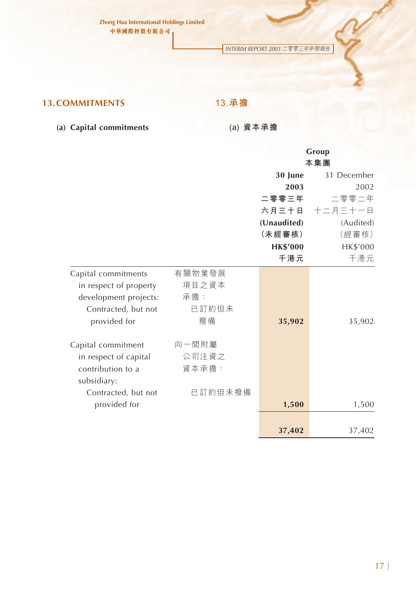*INTERIM REPORT 2003* 二零零三年中期報告

# **13.COMMITMENTS**

**13.承擔**

**(a) Capital commitments**

**(a) 資本承擔**

|                        |         |                 | Group         |
|------------------------|---------|-----------------|---------------|
|                        |         |                 | 本集團           |
|                        |         | 30 June         | 31 December   |
|                        |         | 2003            | 2002          |
|                        |         | 二零零三年           | 二零零二年         |
|                        |         |                 | 六月三十日 十二月三十一日 |
|                        |         | (Unaudited)     | (Audited)     |
|                        |         | (未經審核)          | (經審核)         |
|                        |         | <b>HK\$'000</b> | HK\$'000      |
|                        |         | 千港元             | 千港元           |
| Capital commitments    | 有關物業發展  |                 |               |
| in respect of property | 項目之資本   |                 |               |
| development projects:  | 承擔:     |                 |               |
| Contracted, but not    | 已訂約但未   |                 |               |
| provided for           | 撥備      | 35,902          | 35,902        |
|                        |         |                 |               |
| Capital commitment     | 向一間附屬   |                 |               |
| in respect of capital  | 公司注資之   |                 |               |
| contribution to a      | 資本承擔:   |                 |               |
| subsidiary:            |         |                 |               |
| Contracted, but not    | 已訂約但未撥備 |                 |               |
| provided for           |         | 1,500           | 1,500         |
|                        |         |                 |               |
|                        |         | 37,402          | 37,402        |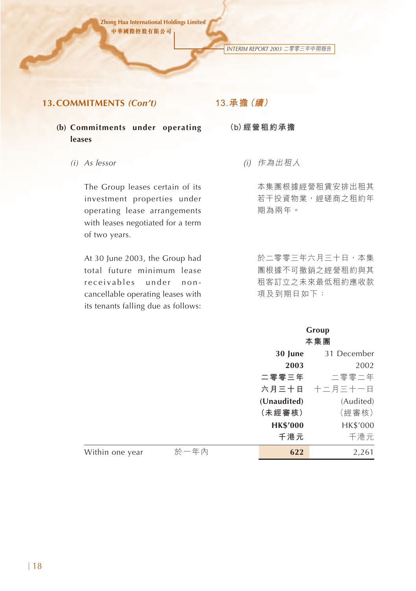*INTERIM REPORT 2003* 二零零三年中期報告

### **13.COMMITMENTS** *(Con't)*

# **13.承擔(續)**

- **(b) Commitments under operating leases**
	- *(i) As lessor*

The Group leases certain of its investment properties under operating lease arrangements with leases negotiated for a term of two years.

At 30 June 2003, the Group had total future minimum lease receivables under noncancellable operating leases with its tenants falling due as follows:

- **(b)經營租約承擔**
	- (i) 作為出租人

本集團根據經營租賃安排出租其 若干投資物業,經磋商之租約年 期為兩年。

於二零零三年六月三十日,本集 團根據不可撤銷之經營租約與其 租客訂立之未來最低租約應收款 項及到期日如下:

# **Group**

|                         | 本集團             |               |  |
|-------------------------|-----------------|---------------|--|
|                         | 30 June         | 31 December   |  |
|                         | 2003            | 2002          |  |
|                         | 二零零三年           | 二零零二年         |  |
|                         |                 | 六月三十日 十二月三十一日 |  |
|                         | (Unaudited)     | (Audited)     |  |
|                         | (未經審核)          | (經審核)         |  |
|                         | <b>HK\$'000</b> | HK\$'000      |  |
|                         | 千港元             | 千港元           |  |
| 於一年內<br>Within one year | 622             | 2,261         |  |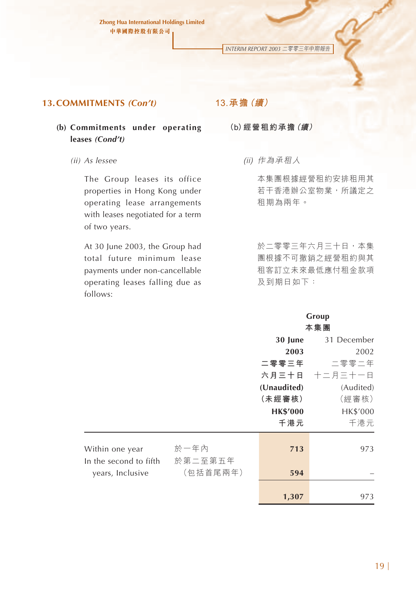*INTERIM REPORT 2003* 二零零三年中期報告

### **13.COMMITMENTS** *(Con't)*

### **(b) Commitments under operating leases** *(Cond't)*

*(ii) As lessee*

The Group leases its office properties in Hong Kong under operating lease arrangements with leases negotiated for a term of two years.

At 30 June 2003, the Group had total future minimum lease payments under non-cancellable operating leases falling due as follows:

### **13.承擔(續)**

**(b)經營租約承擔(續)**

(ii) 作為承租人

本集團根據經營租約安排租用其 若干香港辦公室物業,所議定之 租期為兩年。

於二零零三年六月三十日,本集 團根據不可撤銷之經營租約與其 租客訂立未來最低應付租金款項 及到期日如下:

### **Group 本集團**

|                                            |                     | 30 June         | 31 December   |
|--------------------------------------------|---------------------|-----------------|---------------|
|                                            |                     | 2003            | 2002          |
|                                            |                     | 二零零三年           | 二零零二年         |
|                                            |                     |                 | 六月三十日 十二月三十一日 |
|                                            |                     | (Unaudited)     | (Audited)     |
|                                            |                     | (未經審核)          | (經審核)         |
|                                            |                     | <b>HK\$'000</b> | HK\$'000      |
|                                            |                     | 千港元             | 千港元           |
| Within one year                            | 於一年內                | 713             | 973           |
| In the second to fifth<br>years, Inclusive | 於第二至第五年<br>(包括首尾兩年) | 594             |               |
|                                            |                     | 1,307           | 973           |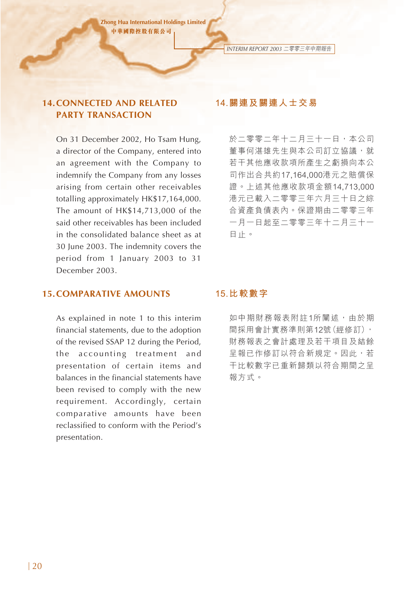### **14.CONNECTED AND RELATED PARTY TRANSACTION**

On 31 December 2002, Ho Tsam Hung, a director of the Company, entered into an agreement with the Company to indemnify the Company from any losses arising from certain other receivables totalling approximately HK\$17,164,000. The amount of HK\$14,713,000 of the said other receivables has been included in the consolidated balance sheet as at 30 June 2003. The indemnity covers the period from 1 January 2003 to 31 December 2003.

### **14.關連及關連人士交易**

*INTERIM REPORT 2003* 二零零三年中期報告

於二零零二年十二月三十一日,本公司 董事何湛雄先生與本公司訂立協議,就 若干其他應收款項所產生之虧損向本公 司作出合共約17,164,000港元之賠償保 證。上述其他應收款項金額14,713,000 港元已載入二零零三年六月三十日之綜 合資產負債表內。保證期由二零零三年 一月一日起至二零零三年十二月三十一 日止。

### **15.COMPARATIVE AMOUNTS**

As explained in note 1 to this interim financial statements, due to the adoption of the revised SSAP 12 during the Period, the accounting treatment and presentation of certain items and balances in the financial statements have been revised to comply with the new requirement. Accordingly, certain comparative amounts have been reclassified to conform with the Period's presentation.

### **15.比較數字**

如中期財務報表附註1所闡述,由於期 間採用會計實務準則第12號(經修訂), 財務報表之會計處理及若干項目及結餘 呈報已作修訂以符合新規定。因此,若 干比較數字已重新歸類以符合期間之呈 報方式。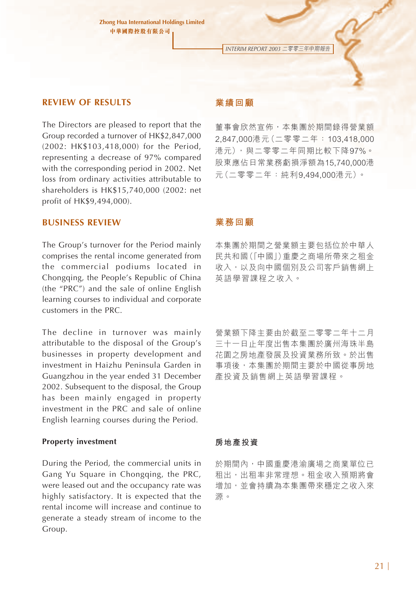*INTERIM REPORT 2003* 二零零三年中期報告

### **REVIEW OF RESULTS**

The Directors are pleased to report that the Group recorded a turnover of HK\$2,847,000 (2002: HK\$103,418,000) for the Period, representing a decrease of 97% compared with the corresponding period in 2002. Net loss from ordinary activities attributable to shareholders is HK\$15,740,000 (2002: net profit of HK\$9,494,000).

### **BUSINESS REVIEW**

The Group's turnover for the Period mainly comprises the rental income generated from the commercial podiums located in Chongqing, the People's Republic of China (the "PRC") and the sale of online English learning courses to individual and corporate customers in the PRC.

The decline in turnover was mainly attributable to the disposal of the Group's businesses in property development and investment in Haizhu Peninsula Garden in Guangzhou in the year ended 31 December 2002. Subsequent to the disposal, the Group has been mainly engaged in property investment in the PRC and sale of online English learning courses during the Period.

#### **Property investment**

During the Period, the commercial units in Gang Yu Square in Chongqing, the PRC, were leased out and the occupancy rate was highly satisfactory. It is expected that the rental income will increase and continue to generate a steady stream of income to the Group.

### **業績回顧**

董事會欣然宣佈,本集團於期間錄得營業額 2,847,000港元(二零零二年:103,418,000 港元),與二零零二年同期比較下降97%。 股東應佔日常業務虧損淨額為15,740,000港 元(二零零二年:純利9,494,000港元)。

#### **業務回顧**

本集團於期間之營業額主要包括位於中華人 民共和國(「中國」)重慶之商場所帶來之租金 收入,以及向中國個別及公司客戶銷售網上 英語學習課程之收入。

營業額下降主要由於截至二零零二年十二月 三十一日止年度出售本集團於廣州海珠半島 花園之房地產發展及投資業務所致。於出售 事項後,本集團於期間主要於中國從事房地 產投資及銷售網上英語學習課程。

### **房地產投資**

於期間內,中國重慶港渝廣場之商業單位已 租出,出租率非常理想。租金收入預期將會 增加,並會持續為本集團帶來穩定之收入來 源。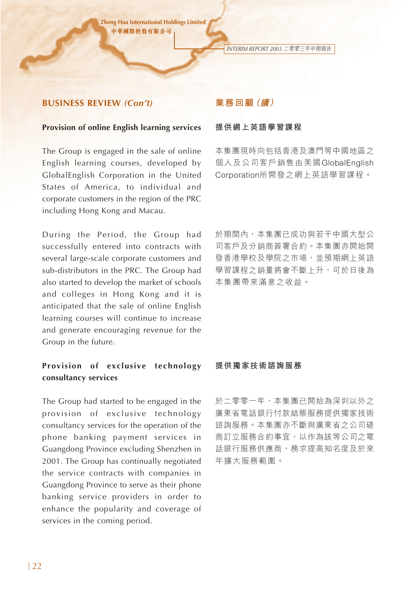*INTERIM REPORT 2003* 二零零三年中期報告

#### **BUSINESS REVIEW** *(Con't)*

#### **Provision of online English learning services**

The Group is engaged in the sale of online English learning courses, developed by GlobalEnglish Corporation in the United States of America, to individual and corporate customers in the region of the PRC including Hong Kong and Macau.

During the Period, the Group had successfully entered into contracts with several large-scale corporate customers and sub-distributors in the PRC. The Group had also started to develop the market of schools and colleges in Hong Kong and it is anticipated that the sale of online English learning courses will continue to increase and generate encouraging revenue for the Group in the future.

# **Provision of exclusive technology consultancy services**

The Group had started to be engaged in the provision of exclusive technology consultancy services for the operation of the phone banking payment services in Guangdong Province excluding Shenzhen in 2001. The Group has continually negotiated the service contracts with companies in Guangdong Province to serve as their phone banking service providers in order to enhance the popularity and coverage of services in the coming period.

### **業務回顧(續)**

#### **提供網上英語學習課程**

本集團現時向包括香港及澳門等中國地區之 個人及公司客戶銷售由美國GlobalEnglish Corporation所開發之網上英語學習課程。

於期間內,本集團已成功與若干中國大型公 司客戶及分銷商簽署合約。本集團亦開始開 發香港學校及學院之市場,並預期網上英語 學習課程之銷量將會不斷上升,可於日後為 本集團帶來滿意之收益。

#### **提供獨家技術諮詢服務**

於二零零一年,本集團已開始為深圳以外之 廣東省電話銀行付款結賬服務提供獨家技術 諮詢服務。本集團亦不斷與廣東省之公司磋 商訂立服務合約事宜,以作為該等公司之電 話銀行服務供應商,務求提高知名度及於來 年擴大服務範圍。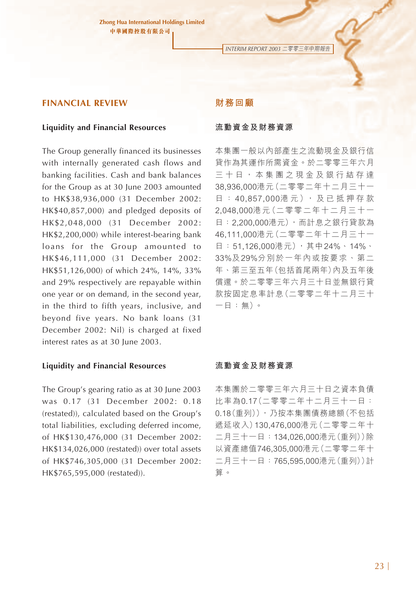*INTERIM REPORT 2003* 二零零三年中期報告

#### **FINANCIAL REVIEW**

#### **Liquidity and Financial Resources**

The Group generally financed its businesses with internally generated cash flows and banking facilities. Cash and bank balances for the Group as at 30 June 2003 amounted to HK\$38,936,000 (31 December 2002: HK\$40,857,000) and pledged deposits of HK\$2,048,000 (31 December 2002: HK\$2,200,000) while interest-bearing bank loans for the Group amounted to HK\$46,111,000 (31 December 2002: HK\$51,126,000) of which 24%, 14%, 33% and 29% respectively are repayable within one year or on demand, in the second year, in the third to fifth years, inclusive, and beyond five years. No bank loans (31 December 2002: Nil) is charged at fixed interest rates as at 30 June 2003.

#### **Liquidity and Financial Resources**

The Group's gearing ratio as at 30 June 2003 was 0.17 (31 December 2002: 0.18 (restated)), calculated based on the Group's total liabilities, excluding deferred income, of HK\$130,476,000 (31 December 2002: HK\$134,026,000 (restated)) over total assets of HK\$746,305,000 (31 December 2002: HK\$765,595,000 (restated)).

#### **財務回顧**

#### **流動資金及財務資源**

本集團一般以內部產生之流動現金及銀行信 貸作為其運作所需資金。於二零零三年六月 三十日,本集團之現金及銀行結存達 38,936,000港元(二零零二年十二月三十一 日: 40,857,000港元), 及已抵押存款 2,048,000港元(二零零二年十二月三十一 日:2,200,000港元),而計息之銀行貸款為 46,111,000港元(二零零二年十二月三十一 日: 51,126,000港元), 其中24%、14%、 33%及29%分別於一年內或按要求、第二 年、第三至五年(包括首尾兩年)內及五年後 償還。於二零零三年六月三十日並無銀行貸 款按固定息率計息(二零零二年十二月三十 一日:無)。

#### **流動資金及財務資源**

本集團於二零零三年六月三十日之資本負債 比率為0.17(二零零二年十二月三十一日: 0.18(重列)),乃按本集團債務總額(不包括 遞延收入)130,476,000港元(二零零二年十 二月三十一日:134,026,000港元(重列))除 以資產總值746,305,000港元(二零零二年十 二月三十一日:765,595,000港元(重列))計 算。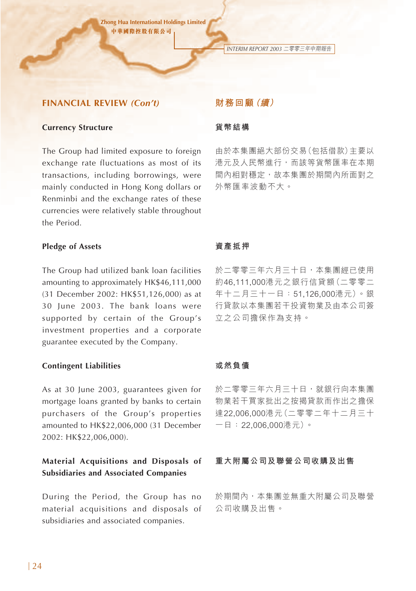*INTERIM REPORT 2003* 二零零三年中期報告

### **FINANCIAL REVIEW** *(Con't)*

#### **Currency Structure**

The Group had limited exposure to foreign exchange rate fluctuations as most of its transactions, including borrowings, were mainly conducted in Hong Kong dollars or Renminbi and the exchange rates of these currencies were relatively stable throughout the Period.

#### **Pledge of Assets**

The Group had utilized bank loan facilities amounting to approximately HK\$46,111,000 (31 December 2002: HK\$51,126,000) as at 30 June 2003. The bank loans were supported by certain of the Group's investment properties and a corporate guarantee executed by the Company.

#### **Contingent Liabilities**

As at 30 June 2003, guarantees given for mortgage loans granted by banks to certain purchasers of the Group's properties amounted to HK\$22,006,000 (31 December 2002: HK\$22,006,000).

### **Material Acquisitions and Disposals of Subsidiaries and Associated Companies**

During the Period, the Group has no material acquisitions and disposals of subsidiaries and associated companies.

### **財務回顧(續)**

#### **貨幣結構**

由於本集團絕大部份交易(包括借款)主要以 港元及人民幣進行,而該等貨幣匯率在本期 間內相對穩定,故本集團於期間內所面對之 外幣匯率波動不大。

#### **資產抵押**

於二零零三年六月三十日,本集團經已使用 約46,111,000港元之銀行信貸額(二零零二 年十二月三十一日:51,126,000港元)。銀 行貸款以本集團若干投資物業及由本公司簽 立之公司擔保作為支持。

### **或然負債**

於二零零三年六月三十日,就銀行向本集團 物業若干買家批出之按揭貸款而作出之擔保 達22,006,000港元(二零零二年十二月三十 一日:22,006,000港元)。

#### **重大附屬公司及聯營公司收購及出售**

於期間內,本集團並無重大附屬公司及聯營 公司收購及出售。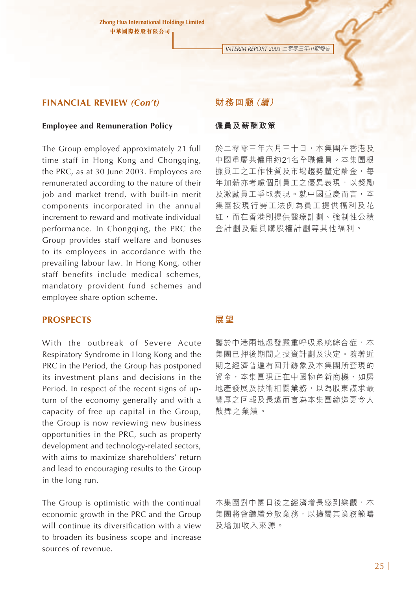*INTERIM REPORT 2003* 二零零三年中期報告

#### **FINANCIAL REVIEW** *(Con't)*

#### **Employee and Remuneration Policy**

The Group employed approximately 21 full time staff in Hong Kong and Chongqing, the PRC, as at 30 June 2003. Employees are remunerated according to the nature of their job and market trend, with built-in merit components incorporated in the annual increment to reward and motivate individual performance. In Chongqing, the PRC the Group provides staff welfare and bonuses to its employees in accordance with the prevailing labour law. In Hong Kong, other staff benefits include medical schemes, mandatory provident fund schemes and employee share option scheme.

### **PROSPECTS**

With the outbreak of Severe Acute Respiratory Syndrome in Hong Kong and the PRC in the Period, the Group has postponed its investment plans and decisions in the Period. In respect of the recent signs of upturn of the economy generally and with a capacity of free up capital in the Group, the Group is now reviewing new business opportunities in the PRC, such as property development and technology-related sectors, with aims to maximize shareholders' return and lead to encouraging results to the Group in the long run.

The Group is optimistic with the continual economic growth in the PRC and the Group will continue its diversification with a view to broaden its business scope and increase sources of revenue.

### **財務回顧(續)**

#### **僱員及薪酬政策**

於二零零三年六月三十日,本集團在香港及 中國重慶共僱用約21名全職僱員。本集團根 據員工之工作性質及市場趨勢釐定酬金,每 年加薪亦考慮個別員工之優異表現,以獎勵 及激勵員工爭取表現。就中國重慶而言,本 集團按現行勞工法例為員工提供福利及花 紅,而在香港則提供醫療計劃、強制性公積 金計劃及僱員購股權計劃等其他福利。

#### **展望**

鑒於中港兩地爆發嚴重呼吸系統綜合症,本 集團已押後期間之投資計劃及決定。隨著近 期之經濟普遍有回升跡象及本集團所套現的 資金,本集團現正在中國物色新商機,如房 地產發展及技術相關業務,以為股東謀求最 豐厚之回報及長遠而言為本集團締造更令人 鼓舞之業績。

本集團對中國日後之經濟增長感到樂觀,本 集團將會繼續分散業務,以擴闊其業務範疇 及增加收入來源。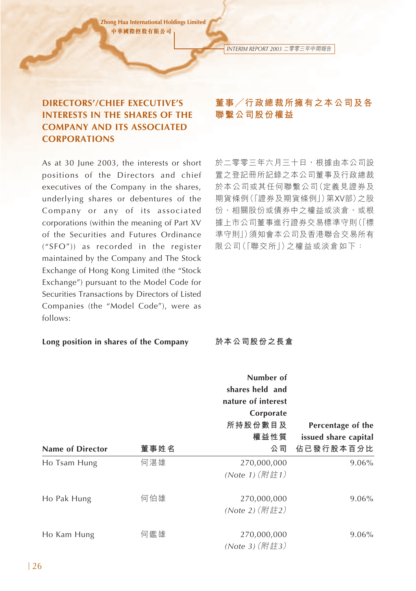# **DIRECTORS'/CHIEF EXECUTIVE'S INTERESTS IN THE SHARES OF THE COMPANY AND ITS ASSOCIATED CORPORATIONS**

As at 30 June 2003, the interests or short positions of the Directors and chief executives of the Company in the shares, underlying shares or debentures of the Company or any of its associated corporations (within the meaning of Part XV of the Securities and Futures Ordinance ("SFO")) as recorded in the register maintained by the Company and The Stock Exchange of Hong Kong Limited (the "Stock Exchange") pursuant to the Model Code for Securities Transactions by Directors of Listed Companies (the "Model Code"), were as follows:

#### **Long position in shares of the Company**

# **董事/行政總裁所擁有之本公司及各 聯繫公司股份權益**

*INTERIM REPORT 2003* 二零零三年中期報告

於二零零三年六月三十日,根據由本公司設 置之登記冊所記錄之本公司董事及行政總裁 於本公司或其任何聯繫公司(定義見證券及 期貨條例(「證券及期貨條例」)第XV部)之股 份、相關股份或債券中之權益或淡倉,或根 據上市公司董事進行證券交易標準守則(「標 準守則」)須知會本公司及香港聯合交易所有 限公司(「聯交所」)之權益或淡倉如下:

**於本公司股份之長倉**

|                         |      | Number of          |                      |
|-------------------------|------|--------------------|----------------------|
|                         |      | shares held and    |                      |
|                         |      | nature of interest |                      |
|                         |      | Corporate          |                      |
|                         |      | 所持股份數目及            | Percentage of the    |
|                         |      | 權益性質               | issued share capital |
| <b>Name of Director</b> | 董事姓名 | 公司                 | 佔已發行股本百分比            |
| Ho Tsam Hung            | 何湛雄  | 270,000,000        | 9.06%                |
|                         |      | (Note 1) (附註1)     |                      |
| Ho Pak Hung             | 何伯雄  | 270,000,000        | 9.06%                |
|                         |      | (Note 2) (附註2)     |                      |
| Ho Kam Hung             | 何鑑雄  | 270,000,000        | 9.06%                |
|                         |      | (Note 3) (附註3)     |                      |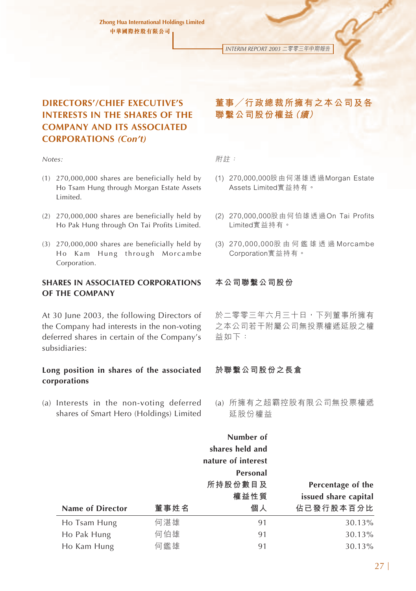*INTERIM REPORT 2003* 二零零三年中期報告

# **DIRECTORS'/CHIEF EXECUTIVE'S INTERESTS IN THE SHARES OF THE COMPANY AND ITS ASSOCIATED CORPORATIONS** *(Con't)*

*Notes:*

- (1) 270,000,000 shares are beneficially held by Ho Tsam Hung through Morgan Estate Assets Limited.
- (2) 270,000,000 shares are beneficially held by Ho Pak Hung through On Tai Profits Limited.
- (3) 270,000,000 shares are beneficially held by Ho Kam Hung through Morcambe Corporation.

### **SHARES IN ASSOCIATED CORPORATIONS OF THE COMPANY**

At 30 June 2003, the following Directors of the Company had interests in the non-voting deferred shares in certain of the Company's subsidiaries:

#### **Long position in shares of the associated corporations**

(a) Interests in the non-voting deferred shares of Smart Hero (Holdings) Limited

# **董事/行政總裁所擁有之本公司及各 聯繫公司股份權益(續)**

附註:

- (1) 270,000,000股由何湛雄透過Morgan Estate Assets Limited實益持有。
- (2) 270,000,000股由何伯雄透過On Tai Profits Limited實益持有。
- (3) 270,000,000股 由 何 鑑 雄 透 過 Morcambe Corporation實益持有。

#### **本公司聯繫公司股份**

於二零零三年六月三十日,下列董事所擁有 之本公司若干附屬公司無投票權遞延股之權 益如下:

### **於聯繫公司股份之長倉**

(a) 所擁有之超霸控股有限公司無投票權遞 延股份權益

|                  |      | Number of          |                      |
|------------------|------|--------------------|----------------------|
|                  |      | shares held and    |                      |
|                  |      | nature of interest |                      |
|                  |      | Personal           |                      |
|                  |      | 所持股份數目及            | Percentage of the    |
|                  |      | 權益性質               | issued share capital |
| Name of Director | 董事姓名 | 個人                 | 佔已發行股本百分比            |
| Ho Tsam Hung     | 何湛雄  | 91                 | 30.13%               |
| Ho Pak Hung      | 何伯雄  | 91                 | 30.13%               |
| Ho Kam Hung      | 何鑑雄  | 91                 | 30.13%               |
|                  |      |                    |                      |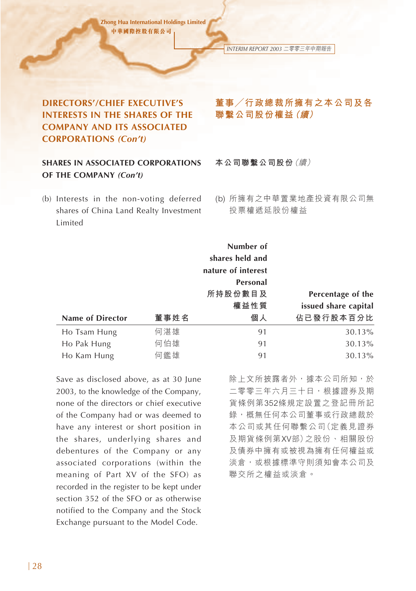*INTERIM REPORT 2003* 二零零三年中期報告

# **DIRECTORS'/CHIEF EXECUTIVE'S INTERESTS IN THE SHARES OF THE COMPANY AND ITS ASSOCIATED CORPORATIONS** *(Con't)*

# **SHARES IN ASSOCIATED CORPORATIONS OF THE COMPANY** *(Con't)*

(b) Interests in the non-voting deferred shares of China Land Realty Investment Limited

# **董事/行政總裁所擁有之本公司及各 聯繫公司股份權益(續)**

**本公司聯繫公司股份**(續)

(b) 所擁有之中華置業地產投資有限公司無 投票權遞延股份權益

|                  |      | Number of          |                      |
|------------------|------|--------------------|----------------------|
|                  |      | shares held and    |                      |
|                  |      | nature of interest |                      |
|                  |      | Personal           |                      |
|                  |      | 所持股份數目及            | Percentage of the    |
|                  |      | 權益性質               | issued share capital |
| Name of Director | 董事姓名 | 個人                 | 佔已發行股本百分比            |
| Ho Tsam Hung     | 何湛雄  | 91                 | 30.13%               |
| Ho Pak Hung      | 何伯雄  | 91                 | 30.13%               |
| Ho Kam Hung      | 何鑑雄  | 91                 | 30.13%               |

Save as disclosed above, as at 30 June 2003, to the knowledge of the Company, none of the directors or chief executive of the Company had or was deemed to have any interest or short position in the shares, underlying shares and debentures of the Company or any associated corporations (within the meaning of Part XV of the SFO) as recorded in the register to be kept under section 352 of the SFO or as otherwise notified to the Company and the Stock Exchange pursuant to the Model Code.

除上文所披露者外,據本公司所知,於 二零零三年六月三十日,根據證券及期 貨條例第352條規定設置之登記冊所記 錄,概無任何本公司董事或行政總裁於 本公司或其任何聯繫公司(定義見證券 及期貨條例第XV部)之股份、相關股份 及債券中擁有或被視為擁有任何權益或 淡倉,或根據標準守則須知會本公司及 聯交所之權益或淡倉。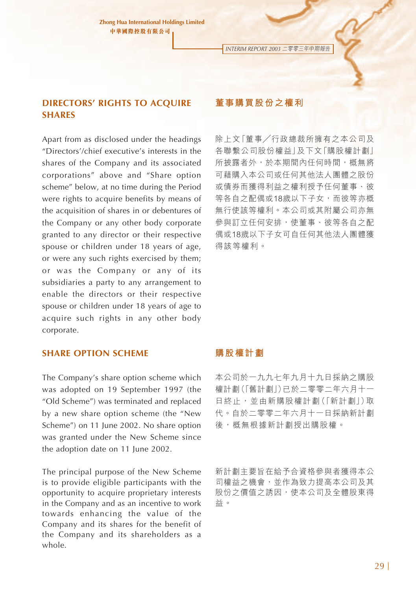*INTERIM REPORT 2003* 二零零三年中期報告

# **DIRECTORS' RIGHTS TO ACQUIRE SHARES**

Apart from as disclosed under the headings "Directors'/chief executive's interests in the shares of the Company and its associated corporations" above and "Share option scheme" below, at no time during the Period were rights to acquire benefits by means of the acquisition of shares in or debentures of the Company or any other body corporate granted to any director or their respective spouse or children under 18 years of age, or were any such rights exercised by them; or was the Company or any of its subsidiaries a party to any arrangement to enable the directors or their respective spouse or children under 18 years of age to acquire such rights in any other body corporate.

### **SHARE OPTION SCHEME**

The Company's share option scheme which was adopted on 19 September 1997 (the "Old Scheme") was terminated and replaced by a new share option scheme (the "New Scheme") on 11 June 2002. No share option was granted under the New Scheme since the adoption date on 11 June 2002.

The principal purpose of the New Scheme is to provide eligible participants with the opportunity to acquire proprietary interests in the Company and as an incentive to work towards enhancing the value of the Company and its shares for the benefit of the Company and its shareholders as a whole.

# **董事購買股份之權利**

除上文「董事/行政總裁所擁有之本公司及 各聯繫公司股份權益」及下文「購股權計劃」 所披露者外,於本期間內任何時間,概無將 可藉購入本公司或任何其他法人團體之股份 或債券而獲得利益之權利授予任何董事、彼 等各自之配偶或18歲以下子女,而彼等亦概 無行使該等權利。本公司或其附屬公司亦無 參與訂立任何安排,使董事、彼等各自之配 偶或18歲以下子女可自任何其他法人團體獲 得該等權利。

#### **購股權計劃**

本公司於一九九七年九月十九日採納之購股 權計劃(「舊計劃」)已於二零零二年六月十一 日終止,並由新購股權計劃(「新計劃」)取 代。自於二零零二年六月十一日採納新計劃 後,概無根據新計劃授出購股權。

新計劃主要旨在給予合資格參與者獲得本公 司權益之機會,並作為致力提高本公司及其 股份之價值之誘因,使本公司及全體股東得 益。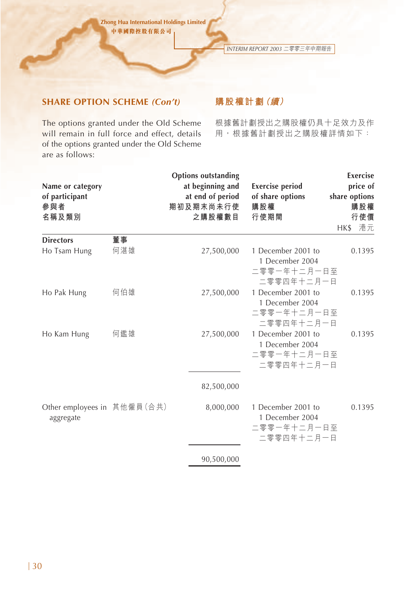*INTERIM REPORT 2003* 二零零三年中期報告

# **SHARE OPTION SCHEME** *(Con't)*

The options granted under the Old Scheme will remain in full force and effect, details of the options granted under the Old Scheme are as follows:

# **購股權計劃(續)**

根據舊計劃授出之購股權仍具十足效力及作 用,根據舊計劃授出之購股權詳情如下:

| Name or category<br>of participant<br>參與者<br>名稱及類別 |           | <b>Options outstanding</b><br>at beginning and<br>at end of period<br>期初及期末尚未行使<br>之購股權數目 | <b>Exercise period</b><br>of share options<br>購股權<br>行使期間                        | Exercise<br>price of<br>share options<br>購股權<br>行使價 |
|----------------------------------------------------|-----------|-------------------------------------------------------------------------------------------|----------------------------------------------------------------------------------|-----------------------------------------------------|
|                                                    |           |                                                                                           |                                                                                  | 港元<br>HK\$                                          |
| <b>Directors</b><br>Ho Tsam Hung                   | 董事<br>何湛雄 | 27,500,000                                                                                | 1 December 2001 to<br>1 December 2004<br>二零零一年十二月一日至                             | 0.1395                                              |
| Ho Pak Hung                                        | 何伯雄       | 27,500,000                                                                                | 二零零四年十二月一日<br>1 December 2001 to<br>1 December 2004<br>二零零一年十二月一日至<br>二零零四年十二月一日 | 0.1395                                              |
| Ho Kam Hung                                        | 何鑑雄       | 27,500,000                                                                                | 1 December 2001 to<br>1 December 2004<br>二零零一年十二月一日至<br>二零零四年十二月一日               | 0.1395                                              |
|                                                    |           | 82,500,000                                                                                |                                                                                  |                                                     |
| Other employees in 其他僱員(合共)<br>aggregate           |           | 8,000,000                                                                                 | 1 December 2001 to<br>1 December 2004<br>二零零一年十二月一日至<br>二零零四年十二月一日               | 0.1395                                              |
|                                                    |           | 90,500,000                                                                                |                                                                                  |                                                     |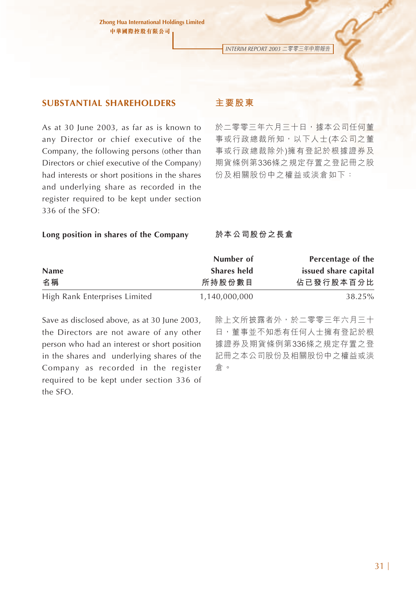*INTERIM REPORT 2003* 二零零三年中期報告

### **SUBSTANTIAL SHAREHOLDERS**

As at 30 June 2003, as far as is known to any Director or chief executive of the Company, the following persons (other than Directors or chief executive of the Company) had interests or short positions in the shares and underlying share as recorded in the register required to be kept under section 336 of the SFO:

### **主要股東**

於二零零三年六月三十日,據本公司任何董 事或行政總裁所知,以下人士(本公司之董 事或行政總裁除外)擁有登記於根據證券及 期貨條例第336條之規定存置之登記冊之股 份及相關股份中之權益或淡倉如下:

#### **Long position in shares of the Company**

**於本公司股份之長倉**

|                               | Number of     | Percentage of the    |
|-------------------------------|---------------|----------------------|
| <b>Name</b>                   | Shares held   | issued share capital |
| 名稱                            | 所持股份數目        | 佔已發行股本百分比            |
| High Rank Enterprises Limited | 1,140,000,000 | 38.25%               |

Save as disclosed above, as at 30 June 2003, the Directors are not aware of any other person who had an interest or short position in the shares and underlying shares of the Company as recorded in the register required to be kept under section 336 of the SFO.

除上文所披露者外,於二零零三年六月三十 日,董事並不知悉有任何人士擁有登記於根 據證券及期貨條例第336條之規定存置之登 記冊之本公司股份及相關股份中之權益或淡 倉。